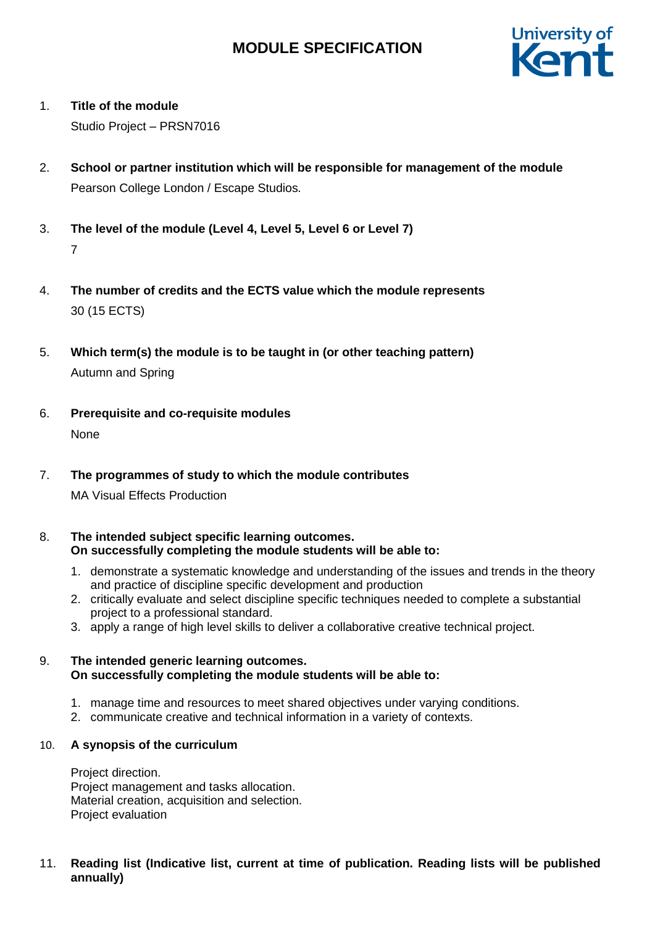# **MODULE SPECIFICATION**



## 1. **Title of the module**

Studio Project – PRSN7016

- 2. **School or partner institution which will be responsible for management of the module** Pearson College London / Escape Studios*.*
- 3. **The level of the module (Level 4, Level 5, Level 6 or Level 7)** 7
- 4. **The number of credits and the ECTS value which the module represents**  30 (15 ECTS)
- 5. **Which term(s) the module is to be taught in (or other teaching pattern)** Autumn and Spring
- 6. **Prerequisite and co-requisite modules** None
- 7. **The programmes of study to which the module contributes** MA Visual Effects Production
- 8. **The intended subject specific learning outcomes. On successfully completing the module students will be able to:**
	- 1. demonstrate a systematic knowledge and understanding of the issues and trends in the theory and practice of discipline specific development and production
	- 2. critically evaluate and select discipline specific techniques needed to complete a substantial project to a professional standard.
	- 3. apply a range of high level skills to deliver a collaborative creative technical project.

## 9. **The intended generic learning outcomes. On successfully completing the module students will be able to:**

- 1. manage time and resources to meet shared objectives under varying conditions.
- 2. communicate creative and technical information in a variety of contexts.

## 10. **A synopsis of the curriculum**

Project direction. Project management and tasks allocation. Material creation, acquisition and selection. Project evaluation

### 11. **Reading list (Indicative list, current at time of publication. Reading lists will be published annually)**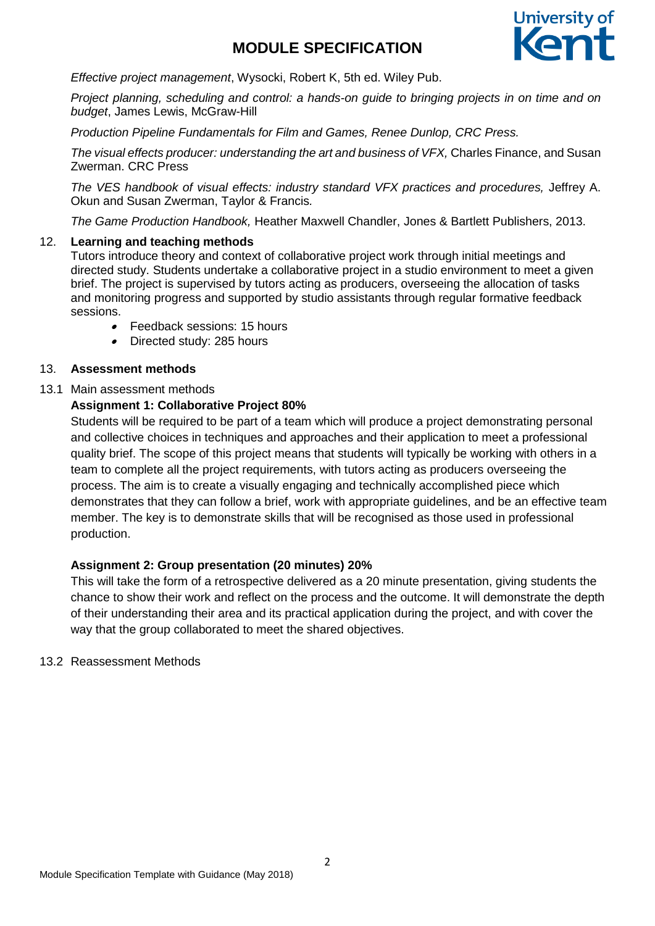# **MODULE SPECIFICATION**



*Effective project management*, Wysocki, Robert K, 5th ed. Wiley Pub.

*Project planning, scheduling and control: a hands-on guide to bringing projects in on time and on budget*, James Lewis, McGraw-Hill

*Production Pipeline Fundamentals for Film and Games, Renee Dunlop, CRC Press.*

*The visual effects producer: understanding the art and business of VFX,* Charles Finance, and Susan Zwerman. CRC Press

The VES handbook of visual effects: industry standard VFX practices and procedures, Jeffrey A. Okun and Susan Zwerman, Taylor & Francis*.* 

*The Game Production Handbook,* Heather Maxwell Chandler, Jones & Bartlett Publishers, 2013.

### 12. **Learning and teaching methods**

Tutors introduce theory and context of collaborative project work through initial meetings and directed study. Students undertake a collaborative project in a studio environment to meet a given brief. The project is supervised by tutors acting as producers, overseeing the allocation of tasks and monitoring progress and supported by studio assistants through regular formative feedback sessions.

- . Feedback sessions: 15 hours
- Directed study: 285 hours

### 13. **Assessment methods**

### 13.1 Main assessment methods

## **Assignment 1: Collaborative Project 80%**

Students will be required to be part of a team which will produce a project demonstrating personal and collective choices in techniques and approaches and their application to meet a professional quality brief. The scope of this project means that students will typically be working with others in a team to complete all the project requirements, with tutors acting as producers overseeing the process. The aim is to create a visually engaging and technically accomplished piece which demonstrates that they can follow a brief, work with appropriate guidelines, and be an effective team member. The key is to demonstrate skills that will be recognised as those used in professional production.

## **Assignment 2: Group presentation (20 minutes) 20%**

This will take the form of a retrospective delivered as a 20 minute presentation, giving students the chance to show their work and reflect on the process and the outcome. It will demonstrate the depth of their understanding their area and its practical application during the project, and with cover the way that the group collaborated to meet the shared objectives.

#### 13.2 Reassessment Methods